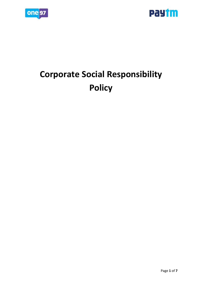



# **Corporate Social Responsibility Policy**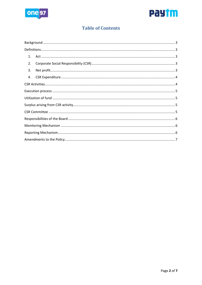



# **Table of Contents**

| 1. |  |  |
|----|--|--|
| 2. |  |  |
| 3. |  |  |
| 4. |  |  |
|    |  |  |
|    |  |  |
|    |  |  |
|    |  |  |
|    |  |  |
|    |  |  |
|    |  |  |
|    |  |  |
|    |  |  |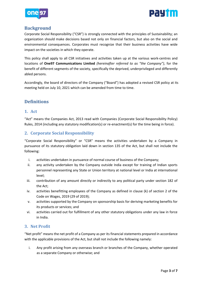



# <span id="page-2-0"></span>**Background**

Corporate Social Responsibility ("CSR") is strongly connected with the principles of Sustainability; an organization should make decisions based not only on financial factors, but also on the social and environmental consequences. Corporates must recognize that their business activities have wide impact on the societies in which they operate.

This policy shall apply to all CSR initiatives and activities taken up at the various work‐centres and locations of **One97 Communications Limited** *(hereinafter referred to as "the Company")*, for the benefit of different segments of the society, specifically the deprived, underprivileged and differently abled persons.

Accordingly, the board of directors of the Company ("Board") has adopted a revised CSR policy at its meeting held on July 10, 2021 which can be amended from time to time.

# <span id="page-2-1"></span>**Definitions**

#### <span id="page-2-2"></span>**1. Act**

"Act" means the Companies Act, 2013 read with Companies (Corporate Social Responsibility Policy) Rules, 2014 (including any statutory modification(s) or re-enactment(s) for the time being in force).

# <span id="page-2-3"></span>**2. Corporate Social Responsibility**

"Corporate Social Responsibility" or "CSR" means the activities undertaken by a Company in pursuance of its statutory obligation laid down in section 135 of the Act, but shall not include the following:

- i. activities undertaken in pursuance of normal course of business of the Company;
- ii. any activity undertaken by the Company outside India except for training of Indian sports personnel representing any State or Union territory at national level or India at international level;
- iii. contribution of any amount directly or indirectly to any political party under section 182 of the Act;
- iv. activities benefitting employees of the Company as defined in clause (k) of section 2 of the Code on Wages, 2019 (29 of 2019);
- v. activities supported by the Company on sponsorship basis for deriving marketing benefits for its products or services; and
- vi. activities carried out for fulfillment of any other statutory obligations under any law in force in India.

#### <span id="page-2-4"></span>**3. Net Profit**

"Net profit" means the net profit of a Company as per its financial statements prepared in accordance with the applicable provisions of the Act, but shall not include the following namely:

i. Any profit arising from any overseas branch or branches of the Company, whether operated as a separate Company or otherwise; and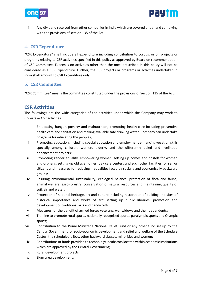



ii. Any dividend received from other companies in India which are covered under and complying with the provisions of section 135 of the Act.

#### <span id="page-3-0"></span>**4. CSR Expenditure**

"CSR Expenditure" shall include all expenditure including contribution to corpus, or on projects or programs relating to CSR activities specified in this policy as approved by Board on recommendation of CSR Committee. Expenses on activities other than the ones prescribed in this policy will not be considered as a CSR Expenditure. Further, the CSR projects or programs or activities undertaken in India shall amount to CSR Expenditure only.

#### **5. CSR Committee:**

"CSR Committee" means the committee constituted under the provisions of Section 135 of the Act.

# <span id="page-3-1"></span>**CSR Activities**

The followings are the wide categories of the activities under which the Company may work to undertake CSR activities:

- i. Eradicating hunger, poverty and malnutrition, promoting health care including preventive health care and sanitation and making available safe drinking water. Company can undertake programs for educating the peoples;
- ii. Promoting education, including special education and employment enhancing vocation skills specially among children, women, elderly, and the differently abled and livelihood enhancement projects;
- iii. Promoting gender equality, empowering women, setting up homes and hostels for women and orphans, setting up old age homes, day care centers and such other facilities for senior citizens and measures for reducing inequalities faced by socially and economically backward groups;
- iv. Ensuring environmental sustainability, ecological balance, protection of flora and fauna, animal welfare, agro-forestry, conservation of natural resources and maintaining quality of soil, air and water;
- v. Protection of national heritage, art and culture including restoration of building and sites of historical importance and works of art: setting up public libraries; promotion and development of traditional arts and handicrafts:
- vi. Measures for the benefit of armed forces veterans, war widows and their dependents;
- vii. Training to promote rural sports, nationally recognised sports, paralympic sports and Olympic sports;
- viii. Contribution to the Prime Minister's National Relief Fund or any other fund set up by the Central Government for socio-economic development and relief and welfare of the Schedule Castes, the scheduled tribes, other backward classes, minorities and women;
- ix. Contributions or funds provided to technology incubators located within academic institutions which are approved by the Central Government;
- x. Rural development projects;
- xi. Slum area development;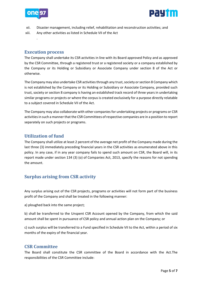

.



- xii. Disaster management, including relief, rehabilitation and reconstruction activities; and
- xiii. Any other activities as listed in Schedule VII of the Act

#### <span id="page-4-0"></span>**Execution process**

The Company shall undertake its CSR activities in line with its Board approved Policy and as approved by the CSR Committee, through a registered trust or a registered society or a company established by the Company or its Holding or Subsidiary or Associate Company under section 8 of the Act or otherwise.

The Company may also undertake CSR activities through any trust, society or section 8 Company which is not established by the Company or its Holding or Subsidiary or Associate Company, provided such trust, society or section 8 company is having an established track record of three years in undertaking similar programs or projects or where the corpus is created exclusively for a purpose directly relatable to a subject covered in Schedule VII of the Act.

The Company may also collaborate with other companies for undertaking projects or programs or CSR activities in such a manner that the CSR Committees of respective companies are in a position to report separately on such projects or programs.

# <span id="page-4-1"></span>**Utilization of fund**

The Company shall utilize at least 2 percent of the average net profit of the Company made during the last three (3) immediately preceding financial years in the CSR activities as enumerated above in this policy. In any case, if in any year company fails to spend such amount on CSR, the Board will, in its report made under section 134 (3) (o) of Companies Act, 2013, specify the reasons for not spending the amount.

# <span id="page-4-2"></span>**Surplus arising from CSR activity**

Any surplus arising out of the CSR projects, programs or activities will not form part of the business profit of the Company and shall be treated in the following manner:

a) ploughed back into the same project;

b) shall be transferred to the Unspent CSR Account opened by the Company, from which the said amount shall be spent in pursuance of CSR policy and annual action plan on the Company; or

c) such surplus will be transferred to a Fund specified in Schedule VII to the Act, within a period of six months of the expiry of the financial year.

#### <span id="page-4-3"></span>**CSR Committee**

The Board shall constitute the CSR committee of the Board in accordance with the Act.The responsibilities of the CSR Committee include: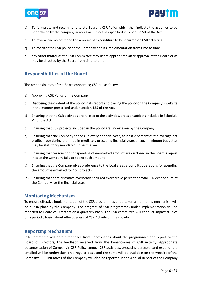



- a) To formulate and recommend to the Board, a CSR Policy which shall indicate the activities to be undertaken by the company in areas or subjects as specified in Schedule VII of the Act
- b) To review and recommend the amount of expenditure to be incurred on CSR activities
- c) To monitor the CSR policy of the Company and its implementation from time to time
- d) any other matter as the CSR Committee may deem appropriate after approval of the Board or as may be directed by the Board from time to time.

# <span id="page-5-0"></span>**Responsibilities of the Board**

The responsibilities of the Board concerning CSR are as follows:

- a) Approving CSR Policy of the Company
- b) Disclosing the content of the policy in its report and placing the policy on the Company's website in the manner prescribed under section 135 of the Act.
- c) Ensuring that the CSR activities are related to the activities, areas or subjects included in Schedule VII of the Act.
- d) Ensuring that CSR projects included in the policy are undertaken by the Company
- e) Ensuring that the Company spends, in every financial year, at least 2 percent of the average net profits made during the three immediately preceding financial years or such minimum budget as may be statutorily mandated under the law
- f) Ensuring that reasons for not spending of earmarked amount are disclosed in the Board's report in case the Company fails to spend such amount
- g) Ensuring that the Company gives preference to the local areas around its operations for spending the amount earmarked for CSR projects
- h) Ensuring that administrative overheads shall not exceed five percent of total CSR expenditure of the Company for the financial year.

#### <span id="page-5-1"></span>**Monitoring Mechanism**

To ensure effective implementation of the CSR programmes undertaken a monitoring mechanism will be put in place by the Company. The progress of CSR programmes under implementation will be reported to Board of Directors on a quarterly basis. The CSR committee will conduct impact studies on a periodic basis, about effectiveness of CSR Activity on the society.

#### <span id="page-5-2"></span>**Reporting Mechanism**

CSR Committee will obtain feedback from beneficiaries about the programmes and report to the Board of Directors, the feedback received from the beneficiaries of CSR Activity. Appropriate documentation of Company's CSR Policy, annual CSR activities, executing partners, and expenditure entailed will be undertaken on a regular basis and the same will be available on the website of the Company. CSR initiatives of the Company will also be reported in the Annual Report of the Company